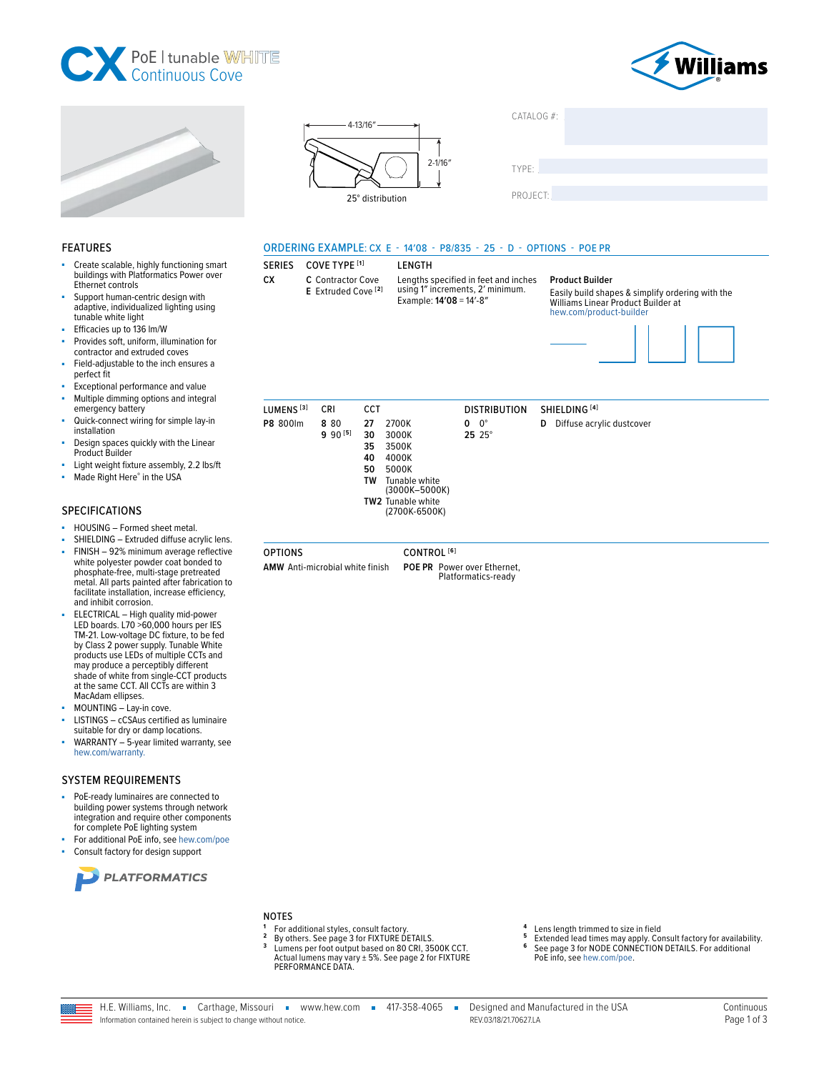







COVE TYPE [1]

CRI

AMW Anti-microbial white finish

8 8 0

 $990^{[5]}$ 

3500K

4000K

5000K

Tunable white<br>(3000K-5000K) **TW2** Tunable white

(2700K-6500K)

CONTROL<sup>[6]</sup>

POE PR Power over Ethernet,

Platformatics-ready

35

40

50

**TW** 

LUMENS<sup>[3]</sup>

P8 800lm

**OPTIONS** 

| CATALOG #: |  |
|------------|--|
|            |  |
|            |  |
| TYPE:      |  |
|            |  |
| DDA IFAT   |  |

PROJECT:

#### ORDERING EXAMPLE: CX E - 14'08 - P8/835 - 25 - D - OPTIONS - POE PR

#### Create scalable, highly functioning smart **SERIES** buildings with Platformatics Power over CX.

- Ethernet controls Support human-centric design with adaptive, individualized lighting using
- tunable white light Efficacies up to 136 lm/W

**FEATURES** 

- Provides soft, uniform, illumination for ÷. contractor and extruded coves
- Field-adjustable to the inch ensures a perfect fit
- Exceptional performance and value
- Multiple dimming options and integral à. emergency battery
- Quick-connect wiring for simple lay-in installation
- Design spaces quickly with the Linear Product Builder
- Light weight fixture assembly, 2.2 lbs/ft
- Made Right Here® in the USA ×.

#### **SPECIFICATIONS**

- HOUSING Formed sheet metal. ×.
- SHIELDING Extruded diffuse acrylic lens.
- FINISH 92% minimum average reflective white polyester powder coat bonded to phosphate-free, multi-stage pretreated metal. All parts painted after fabrication to facilitate installation, increase efficiency, and inhibit corrosion.
- ELECTRICAL High quality mid-power LED boards. L70 >60,000 hours per IES TM-21. Low-voltage DC fixture, to be fed by Class 2 power supply. Tunable White<br>products use LEDs of multiple CCTs and may produce a perceptibly different<br>shade of white from single-CCT products at the same CCT. All CCTs are within 3 MacAdam ellipses.
- MOUNTING Lay-in cove.
- LISTINGS cCSAus certified as luminaire à. suitable for dry or damp locations.
- WARRANTY 5-year limited warranty, see hew.com/warranty.

#### **SYSTEM REQUIREMENTS**

- PoE-ready luminaires are connected to building power systems through network integration and require other components for complete PoE lighting system
- For additional PoE info, see hew.com/poe Consult factory for design support



#### **NOTES**

- For additional styles, consult factory.
- By others. See page 3 for FIXTURE DETAILS.<br>Lumens per foot output based on 80 CRI, 3500K CCT.
- 3 Actual lumens may vary ± 5%. See page 2 for FIXTURE PERFORMANCE DATA.
- Lens length trimmed to size in field 5
- Extended lead times may apply. Consult factory for availability.<br>See page 3 for NODE CONNECTION DETAILS. For additional 6 PoE info, see hew.com/poe.



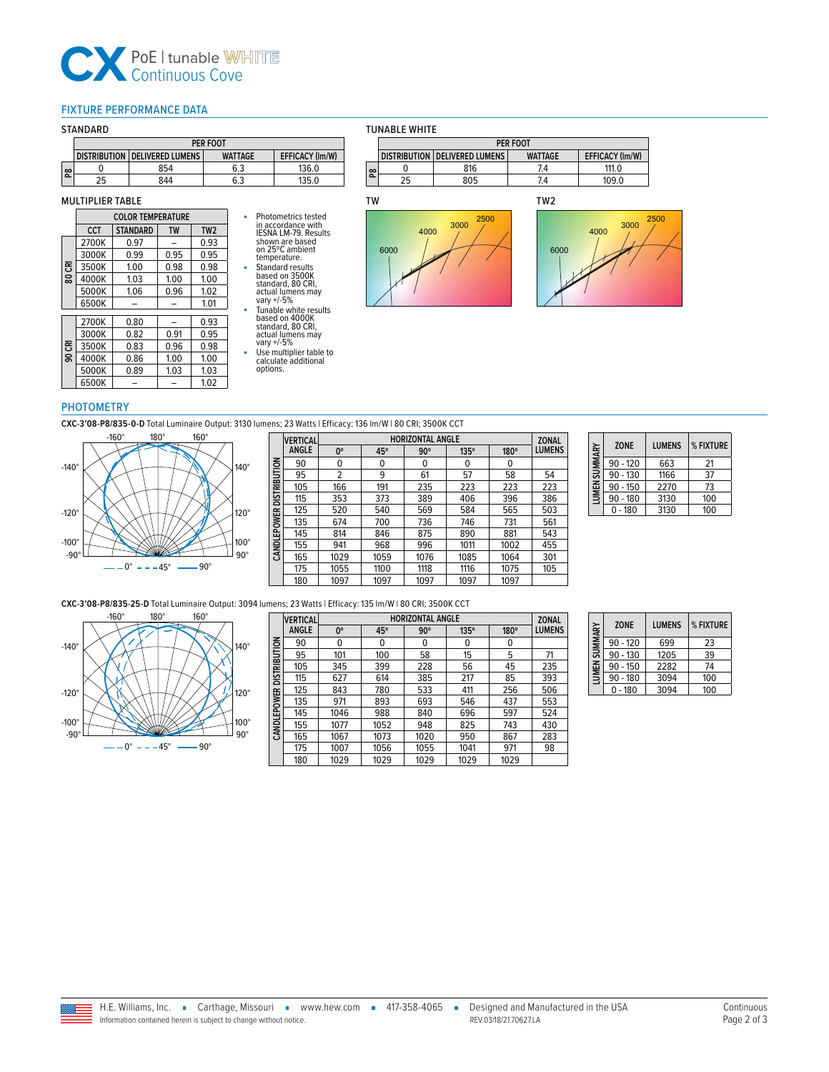# **CX** PoE | tunable WI

#### <span id="page-1-0"></span>FIXTURE PERFORMANCE DATA

#### STANDARD

|                                                                           | PER FOOT |     |     |       |  |  |  |
|---------------------------------------------------------------------------|----------|-----|-----|-------|--|--|--|
| <b>EFFICACY (Im/W)</b><br>DISTRIBUTION DELIVERED LUMENS<br><b>WATTAGE</b> |          |     |     |       |  |  |  |
| ၹ                                                                         |          | 854 | 6.3 | 136.0 |  |  |  |
|                                                                           | 25       | 844 | 6.3 | 135.0 |  |  |  |

#### MULTIPLIER TABLE

|   |       | <b>COLOR TEMPERATURE</b> |           |                 | Photometrics tested                               |
|---|-------|--------------------------|-----------|-----------------|---------------------------------------------------|
|   | CCT   | <b>STANDARD</b>          | <b>TW</b> | TW <sub>2</sub> | in accordance with<br><b>IESNA LM-79. Results</b> |
|   | 2700K | 0.97                     |           | 0.93            | shown are based                                   |
|   | 3000K | 0.99                     | 0.95      | 0.95            | on 25°C ambient<br>temperature.                   |
| 룡 | 3500K | 1.00                     | 0.98      | 0.98            | Standard results                                  |
| ន | 4000K | 1.03                     | 1.00      | 1.00            | based on 3500K<br>standard, 80 CRI,               |
|   | 5000K | 1.06                     | 0.96      | 1.02            | actual lumens may                                 |
|   | 6500K |                          |           | 1.01            | vary +/-5%                                        |
|   |       |                          |           |                 | Tunable white results<br>based on 4000K           |
|   | 2700K | 0.80                     |           | 0.93            | standard, 80 CRI.                                 |
|   | 3000K | 0.82                     | 0.91      | 0.95            | actual lumens may                                 |
| 룡 | 3500K | 0.83                     | 0.96      | 0.98            | vary +/-5%                                        |
| g | 4000K | 0.86                     | 1.00      | 1.00            | Use multiplier table to<br>calculate additional   |
|   | 5000K | 0.89                     | 1.03      | 1.03            | options.                                          |
|   | 6500K |                          |           | 1.02            |                                                   |

#### TUNABLE WHITE

|          | <b>PER FOOT</b>        |     |     |       |  |  |
|----------|------------------------|-----|-----|-------|--|--|
|          | <b>EFFICACY (Im/W)</b> |     |     |       |  |  |
| <u>ន</u> | 816                    |     | 7.4 | 111 0 |  |  |
|          | 25                     | 805 | 7.4 | 109.0 |  |  |

## TW





#### PHOTOMETRY

**CXC-3′08-P8/835-0-D** Total Luminaire Output: 3130 lumens; 23 Watts | Efficacy: 136 lm/W | 80 CRI; 3500K CCT



| <b>VERTICAL</b> |      |      |            |      |                         | <b>ZONAL</b>  |
|-----------------|------|------|------------|------|-------------------------|---------------|
| <b>ANGLE</b>    | 0°   | 45°  | $90^\circ$ | 135° | 180°                    | <b>LUMENS</b> |
| 90              | 0    | 0    | 0          | 0    | 0                       |               |
| 95              | 2    | 9    | 61         | 57   | 58                      | 54            |
| 105             | 166  | 191  | 235        | 223  | 223                     | 223           |
| 115             | 353  | 373  | 389        | 406  | 396                     | 386           |
| 125             | 520  | 540  | 569        | 584  | 565                     | 503           |
| 135             | 674  | 700  | 736        | 746  | 731                     | 561           |
| 145             | 814  | 846  | 875        | 890  | 881                     | 543           |
| 155             | 941  | 968  | 996        | 1011 | 1002                    | 455           |
| 165             | 1029 | 1059 | 1076       | 1085 | 1064                    | 301           |
| 175             | 1055 | 1100 | 1118       | 1116 | 1075                    | 105           |
| 180             | 1097 | 1097 | 1097       | 1097 | 1097                    |               |
|                 |      |      |            |      | <b>HORIZONTAL ANGLE</b> |               |

| LUMEN SUMMARY | <b>ZONE</b> | <b>LUMENS</b> | % FIXTURE |
|---------------|-------------|---------------|-----------|
|               | $90 - 120$  | 663           | 21        |
|               | $90 - 130$  | 1166          | 37        |
|               | $90 - 150$  | 2270          | 73        |
|               | $90 - 180$  | 3130          | 100       |
|               | $0 - 180$   | 3130          | 100       |

### **CXC-3′08-P8/835-25-D** Total Luminaire Output: 3094 lumens; 23 Watts | Efficacy: 135 lm/W | 80 CRI; 3500K CCT



|              | <b>HORIZONTAL ANGLE</b><br><b>VERTICAL</b> |      |      |            |      |      | <b>ZONAL</b>  |
|--------------|--------------------------------------------|------|------|------------|------|------|---------------|
|              | ANGLE                                      | 0°   | 45°  | $90^\circ$ | 135° | 180° | <b>LUMENS</b> |
| DISTRIBUTION | 90                                         | 0    | 0    | 0          | 0    | 0    |               |
|              | 95                                         | 101  | 100  | 58         | 15   | 5    | 71            |
|              | 105                                        | 345  | 399  | 228        | 56   | 45   | 235           |
|              | 115                                        | 627  | 614  | 385        | 217  | 85   | 393           |
|              | 125                                        | 843  | 780  | 533        | 411  | 256  | 506           |
|              | 135                                        | 971  | 893  | 693        | 546  | 437  | 553           |
| CANDLEPOWER  | 145                                        | 1046 | 988  | 840        | 696  | 597  | 524           |
|              | 155                                        | 1077 | 1052 | 948        | 825  | 743  | 430           |
|              | 165                                        | 1067 | 1073 | 1020       | 950  | 867  | 283           |
|              | 175                                        | 1007 | 1056 | 1055       | 1041 | 971  | 98            |
|              | 180                                        | 1029 | 1029 | 1029       | 1029 | 1029 |               |

| SUMMARY | <b>ZONE</b> | <b>I UMENS</b> | % FIXTURE |
|---------|-------------|----------------|-----------|
|         | $90 - 120$  | 699            | 23        |
|         | $90 - 130$  | 1205           | 39        |
| LUMEN:  | $90 - 150$  | 2282           | 74        |
|         | $90 - 180$  | 3094           | 100       |
|         | $0 - 180$   | 3094           | 100       |